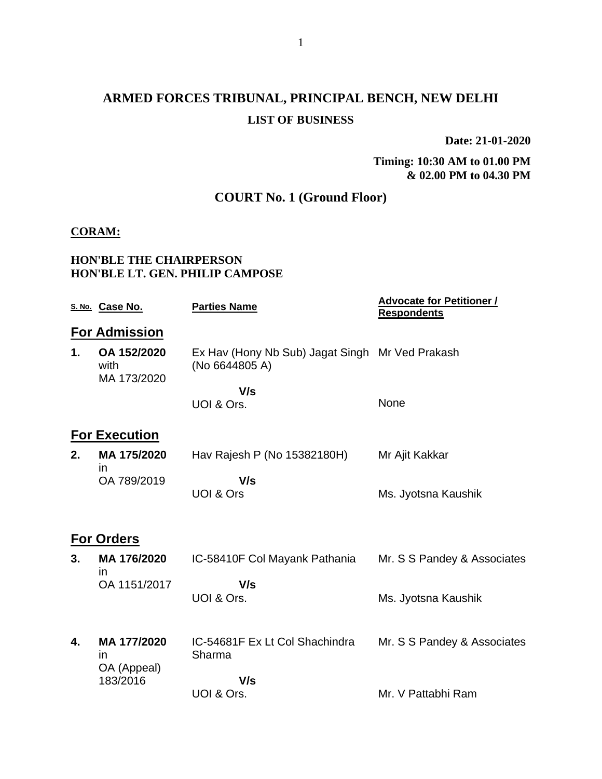# **ARMED FORCES TRIBUNAL, PRINCIPAL BENCH, NEW DELHI LIST OF BUSINESS**

**Date: 21-01-2020**

**Timing: 10:30 AM to 01.00 PM & 02.00 PM to 04.30 PM**

## **COURT No. 1 (Ground Floor)**

#### **CORAM:**

#### **HON'BLE THE CHAIRPERSON HON'BLE LT. GEN. PHILIP CAMPOSE**

|    | S. No. Case No.                    | <b>Parties Name</b>                                               | <b>Advocate for Petitioner /</b><br><b>Respondents</b> |
|----|------------------------------------|-------------------------------------------------------------------|--------------------------------------------------------|
|    | <b>For Admission</b>               |                                                                   |                                                        |
| 1. | OA 152/2020<br>with<br>MA 173/2020 | Ex Hav (Hony Nb Sub) Jagat Singh Mr Ved Prakash<br>(No 6644805 A) |                                                        |
|    |                                    | V/s                                                               |                                                        |
|    |                                    | UOI & Ors.                                                        | None                                                   |
|    | <b>For Execution</b>               |                                                                   |                                                        |
| 2. | MA 175/2020<br>$\mathsf{In}$       | Hav Rajesh P (No 15382180H)                                       | Mr Ajit Kakkar                                         |
|    | OA 789/2019                        | V/s<br><b>UOI &amp; Ors</b>                                       | Ms. Jyotsna Kaushik                                    |
|    | <b>For Orders</b>                  |                                                                   |                                                        |
| 3. | MA 176/2020<br>in                  | IC-58410F Col Mayank Pathania                                     | Mr. S S Pandey & Associates                            |
|    | OA 1151/2017                       | V/s<br>UOI & Ors.                                                 | Ms. Jyotsna Kaushik                                    |
| 4. | MA 177/2020<br>in<br>OA (Appeal)   | IC-54681F Ex Lt Col Shachindra<br>Sharma                          | Mr. S S Pandey & Associates                            |
|    | 183/2016                           | V/s                                                               |                                                        |
|    |                                    | UOI & Ors.                                                        | Mr. V Pattabhi Ram                                     |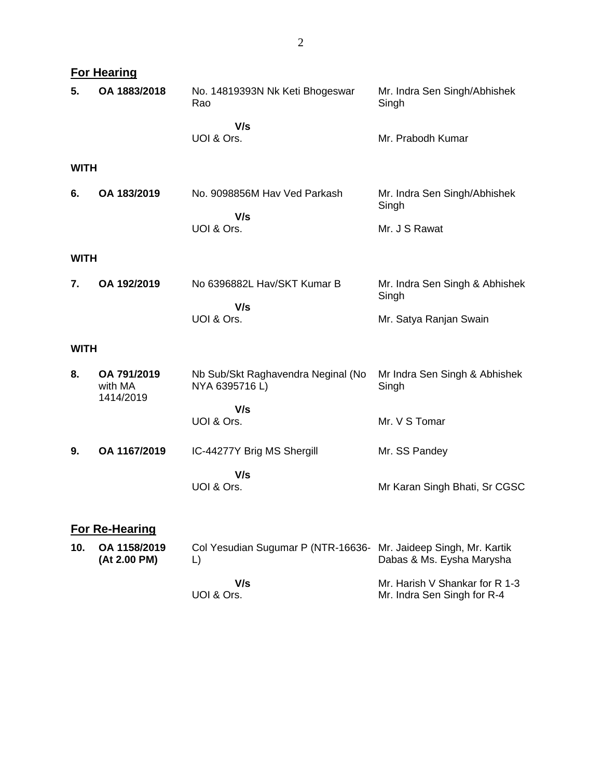|             | <b>For Hearing</b>                  |                                                                        |                                         |  |  |  |
|-------------|-------------------------------------|------------------------------------------------------------------------|-----------------------------------------|--|--|--|
| 5.          | OA 1883/2018                        | No. 14819393N Nk Keti Bhogeswar<br>Rao                                 | Mr. Indra Sen Singh/Abhishek<br>Singh   |  |  |  |
|             |                                     | V/s<br>UOI & Ors.                                                      | Mr. Prabodh Kumar                       |  |  |  |
| <b>WITH</b> |                                     |                                                                        |                                         |  |  |  |
| 6.          | OA 183/2019                         | No. 9098856M Hav Ved Parkash                                           | Mr. Indra Sen Singh/Abhishek<br>Singh   |  |  |  |
|             |                                     | V/s<br>UOI & Ors.                                                      | Mr. J S Rawat                           |  |  |  |
| <b>WITH</b> |                                     |                                                                        |                                         |  |  |  |
| 7.          | OA 192/2019                         | No 6396882L Hav/SKT Kumar B<br>V/s                                     | Mr. Indra Sen Singh & Abhishek<br>Singh |  |  |  |
|             |                                     | UOI & Ors.                                                             | Mr. Satya Ranjan Swain                  |  |  |  |
| <b>WITH</b> |                                     |                                                                        |                                         |  |  |  |
| 8.          | OA 791/2019<br>with MA<br>1414/2019 | Nb Sub/Skt Raghavendra Neginal (No<br>NYA 6395716 L)                   | Mr Indra Sen Singh & Abhishek<br>Singh  |  |  |  |
|             |                                     | V/s<br>UOI & Ors.                                                      | Mr. V S Tomar                           |  |  |  |
|             |                                     |                                                                        |                                         |  |  |  |
| 9.          | OA 1167/2019                        | IC-44277Y Brig MS Shergill                                             | Mr. SS Pandey                           |  |  |  |
|             |                                     | V/s<br>UOI & Ors.                                                      | Mr Karan Singh Bhati, Sr CGSC           |  |  |  |
|             | <b>For Re-Hearing</b>               |                                                                        |                                         |  |  |  |
| 10.         | OA 1158/2019<br>(At 2.00 PM)        | Col Yesudian Sugumar P (NTR-16636- Mr. Jaideep Singh, Mr. Kartik<br>L) | Dabas & Ms. Eysha Marysha               |  |  |  |

 **V/s** UOI & Ors. Mr. Harish V Shankar for R 1-3 Mr. Indra Sen Singh for R-4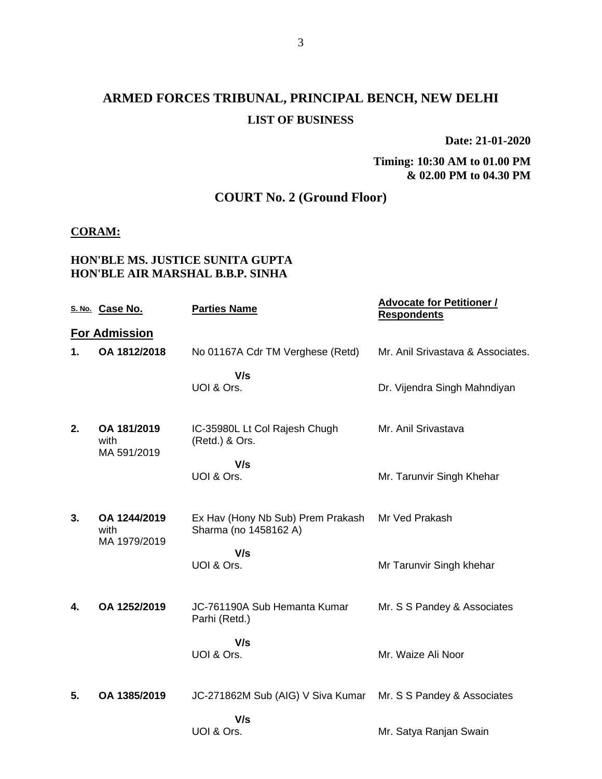## **ARMED FORCES TRIBUNAL, PRINCIPAL BENCH, NEW DELHI LIST OF BUSINESS**

**Date: 21-01-2020**

#### **Timing: 10:30 AM to 01.00 PM & 02.00 PM to 04.30 PM**

## **COURT No. 2 (Ground Floor)**

#### **CORAM:**

#### **HON'BLE MS. JUSTICE SUNITA GUPTA HON'BLE AIR MARSHAL B.B.P. SINHA**

|    | S. No. Case No.                      | <b>Parties Name</b>                                        | <b>Advocate for Petitioner /</b><br><b>Respondents</b> |
|----|--------------------------------------|------------------------------------------------------------|--------------------------------------------------------|
|    | <b>For Admission</b>                 |                                                            |                                                        |
| 1. | OA 1812/2018                         | No 01167A Cdr TM Verghese (Retd)                           | Mr. Anil Srivastava & Associates.                      |
|    |                                      | V/s<br>UOI & Ors.                                          | Dr. Vijendra Singh Mahndiyan                           |
| 2. | OA 181/2019<br>with<br>MA 591/2019   | IC-35980L Lt Col Rajesh Chugh<br>(Retd.) & Ors.            | Mr. Anil Srivastava                                    |
|    |                                      | V/s<br>UOI & Ors.                                          | Mr. Tarunvir Singh Khehar                              |
| 3. | OA 1244/2019<br>with<br>MA 1979/2019 | Ex Hav (Hony Nb Sub) Prem Prakash<br>Sharma (no 1458162 A) | Mr Ved Prakash                                         |
|    |                                      | V/s<br>UOI & Ors.                                          | Mr Tarunvir Singh khehar                               |
| 4. | OA 1252/2019                         | JC-761190A Sub Hemanta Kumar<br>Parhi (Retd.)              | Mr. S S Pandey & Associates                            |
|    |                                      | V/s<br>UOI & Ors.                                          | Mr. Waize Ali Noor                                     |
| 5. | OA 1385/2019                         | JC-271862M Sub (AIG) V Siva Kumar                          | Mr. S S Pandey & Associates                            |
|    |                                      | V/s<br>UOI & Ors.                                          | Mr. Satya Ranjan Swain                                 |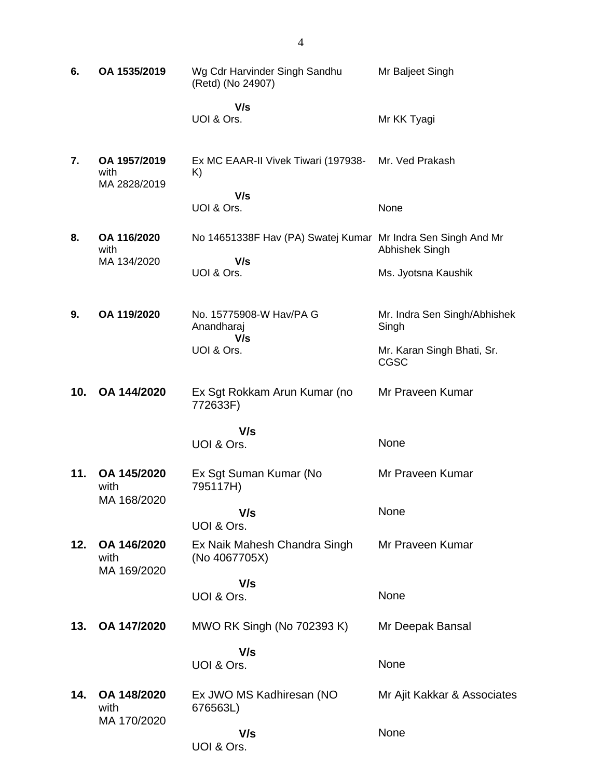| 6.  | OA 1535/2019                         | Wg Cdr Harvinder Singh Sandhu<br>(Retd) (No 24907)                  | Mr Baljeet Singh                          |
|-----|--------------------------------------|---------------------------------------------------------------------|-------------------------------------------|
|     |                                      | V/s<br>UOI & Ors.                                                   | Mr KK Tyagi                               |
| 7.  | OA 1957/2019<br>with<br>MA 2828/2019 | Ex MC EAAR-II Vivek Tiwari (197938-<br>K)                           | Mr. Ved Prakash                           |
|     |                                      | V/s<br>UOI & Ors.                                                   | None                                      |
| 8.  | OA 116/2020<br>with<br>MA 134/2020   | No 14651338F Hav (PA) Swatej Kumar Mr Indra Sen Singh And Mr<br>V/s | Abhishek Singh                            |
|     |                                      | UOI & Ors.                                                          | Ms. Jyotsna Kaushik                       |
| 9.  | OA 119/2020                          | No. 15775908-W Hav/PA G<br>Anandharaj                               | Mr. Indra Sen Singh/Abhishek<br>Singh     |
|     |                                      | V/s<br>UOI & Ors.                                                   | Mr. Karan Singh Bhati, Sr.<br><b>CGSC</b> |
| 10. | OA 144/2020                          | Ex Sgt Rokkam Arun Kumar (no<br>772633F)                            | Mr Praveen Kumar                          |
|     |                                      | V/s                                                                 |                                           |
|     |                                      | UOI & Ors.                                                          | None                                      |
| 11. | OA 145/2020<br>with<br>MA 168/2020   | Ex Sgt Suman Kumar (No<br>795117H)                                  | Mr Praveen Kumar                          |
|     |                                      | V/s<br>UOI & Ors.                                                   | None                                      |
| 12. | OA 146/2020<br>with<br>MA 169/2020   | Ex Naik Mahesh Chandra Singh<br>(No 4067705X)                       | Mr Praveen Kumar                          |
|     |                                      | V/s<br>UOI & Ors.                                                   | None                                      |
| 13. | OA 147/2020                          | MWO RK Singh (No 702393 K)                                          | Mr Deepak Bansal                          |
|     |                                      | V/s<br>UOI & Ors.                                                   | None                                      |
| 14. | OA 148/2020<br>with                  | Ex JWO MS Kadhiresan (NO<br>676563L)                                | Mr Ajit Kakkar & Associates               |
|     | MA 170/2020                          | V/s<br>UOI & Ors.                                                   | None                                      |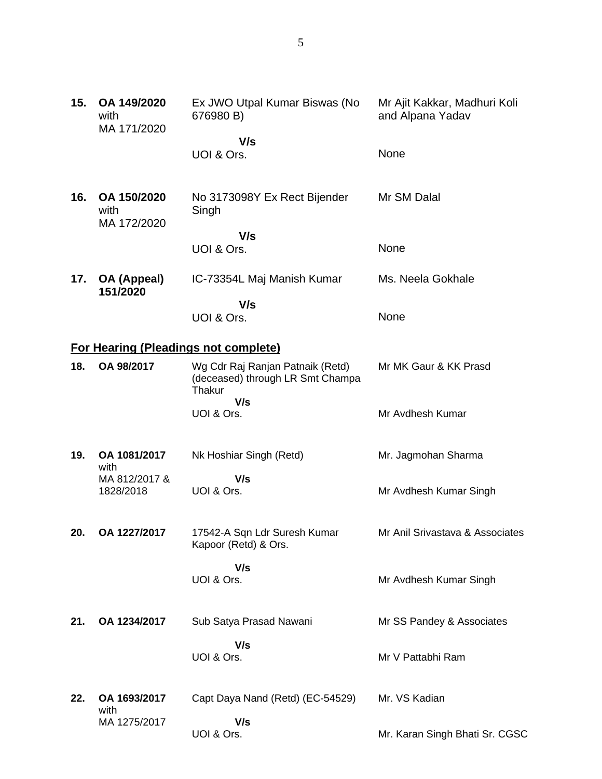| 15. | OA 149/2020<br>with<br>MA 171/2020 | Ex JWO Utpal Kumar Biswas (No<br>676980 B)                                     | Mr Ajit Kakkar, Madhuri Koli<br>and Alpana Yadav |
|-----|------------------------------------|--------------------------------------------------------------------------------|--------------------------------------------------|
|     |                                    | V/s                                                                            |                                                  |
|     |                                    | UOI & Ors.                                                                     | None                                             |
| 16. | OA 150/2020<br>with<br>MA 172/2020 | No 3173098Y Ex Rect Bijender<br>Singh                                          | Mr SM Dalal                                      |
|     |                                    | V/s<br>UOI & Ors.                                                              | None                                             |
| 17. | OA (Appeal)<br>151/2020            | IC-73354L Maj Manish Kumar                                                     | Ms. Neela Gokhale                                |
|     |                                    | V/s                                                                            |                                                  |
|     |                                    | UOI & Ors.                                                                     | None                                             |
|     |                                    | For Hearing (Pleadings not complete)                                           |                                                  |
| 18. | OA 98/2017                         | Wg Cdr Raj Ranjan Patnaik (Retd)<br>(deceased) through LR Smt Champa<br>Thakur | Mr MK Gaur & KK Prasd                            |
|     |                                    | V/s<br>UOI & Ors.                                                              | Mr Avdhesh Kumar                                 |
| 19. | OA 1081/2017<br>with               | Nk Hoshiar Singh (Retd)                                                        | Mr. Jagmohan Sharma                              |
|     | MA 812/2017 &<br>1828/2018         | V/s<br>UOI & Ors.                                                              | Mr Avdhesh Kumar Singh                           |
| 20. | OA 1227/2017                       | 17542-A Sqn Ldr Suresh Kumar<br>Kapoor (Retd) & Ors.                           | Mr Anil Srivastava & Associates                  |
|     |                                    | V/s<br>UOI & Ors.                                                              | Mr Avdhesh Kumar Singh                           |
| 21. | OA 1234/2017                       | Sub Satya Prasad Nawani                                                        | Mr SS Pandey & Associates                        |
|     |                                    | V/s<br>UOI & Ors.                                                              | Mr V Pattabhi Ram                                |
| 22. | OA 1693/2017<br>with               | Capt Daya Nand (Retd) (EC-54529)                                               | Mr. VS Kadian                                    |
|     | MA 1275/2017                       | V/s<br>UOI & Ors.                                                              | Mr. Karan Singh Bhati Sr. CGSC                   |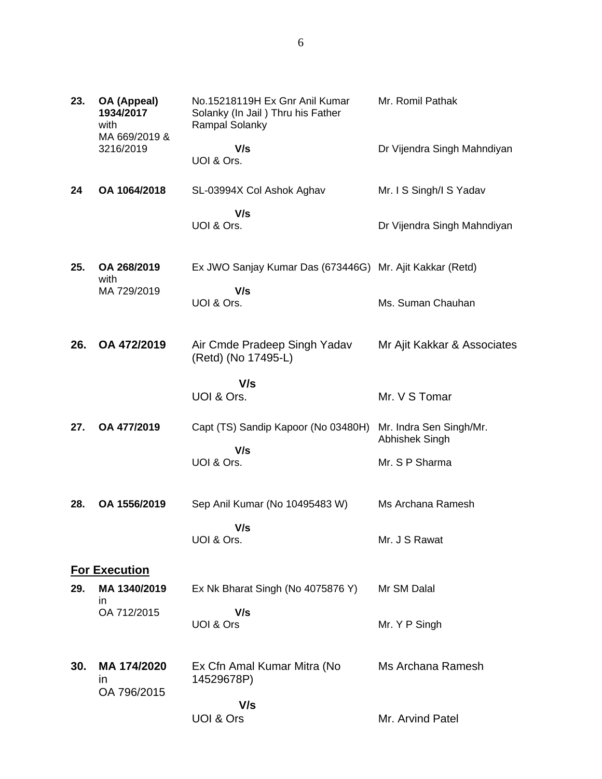| 23. | OA (Appeal)<br>1934/2017<br>with<br>MA 669/2019 & | No.15218119H Ex Gnr Anil Kumar<br>Solanky (In Jail) Thru his Father<br>Rampal Solanky | Mr. Romil Pathak                          |
|-----|---------------------------------------------------|---------------------------------------------------------------------------------------|-------------------------------------------|
|     | 3216/2019                                         | V/s<br>UOI & Ors.                                                                     | Dr Vijendra Singh Mahndiyan               |
| 24  | OA 1064/2018                                      | SL-03994X Col Ashok Aghav                                                             | Mr. I S Singh/I S Yadav                   |
|     |                                                   | V/s<br>UOI & Ors.                                                                     | Dr Vijendra Singh Mahndiyan               |
| 25. | OA 268/2019<br>with                               | Ex JWO Sanjay Kumar Das (673446G) Mr. Ajit Kakkar (Retd)                              |                                           |
|     | MA 729/2019                                       | V/s<br>UOI & Ors.                                                                     | Ms. Suman Chauhan                         |
| 26. | OA 472/2019                                       | Air Cmde Pradeep Singh Yadav<br>(Retd) (No 17495-L)                                   | Mr Ajit Kakkar & Associates               |
|     |                                                   | V/s<br>UOI & Ors.                                                                     | Mr. V S Tomar                             |
| 27. | OA 477/2019                                       | Capt (TS) Sandip Kapoor (No 03480H)                                                   | Mr. Indra Sen Singh/Mr.<br>Abhishek Singh |
|     |                                                   | V/s<br>UOI & Ors.                                                                     | Mr. S P Sharma                            |
| 28. | OA 1556/2019                                      | Sep Anil Kumar (No 10495483 W)                                                        | Ms Archana Ramesh                         |
|     |                                                   | V/s<br>UOI & Ors.                                                                     | Mr. J S Rawat                             |
|     | <b>For Execution</b>                              |                                                                                       |                                           |
| 29. | MA 1340/2019<br>ın                                | Ex Nk Bharat Singh (No 4075876 Y)                                                     | Mr SM Dalal                               |
|     | OA 712/2015                                       | V/s<br>UOI & Ors                                                                      | Mr. Y P Singh                             |
| 30. | MA 174/2020<br>in<br>OA 796/2015                  | Ex Cfn Amal Kumar Mitra (No<br>14529678P)                                             | Ms Archana Ramesh                         |
|     |                                                   | V/s<br>UOI & Ors                                                                      | Mr. Arvind Patel                          |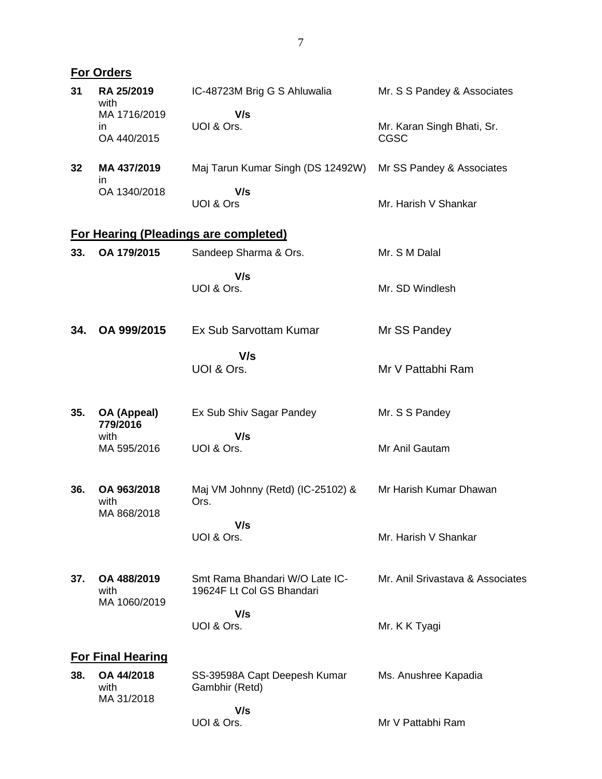|     | <b>For Orders</b>                        |                                                             |                                           |
|-----|------------------------------------------|-------------------------------------------------------------|-------------------------------------------|
| 31  | RA 25/2019<br>with                       | IC-48723M Brig G S Ahluwalia                                | Mr. S S Pandey & Associates               |
|     | MA 1716/2019<br><i>in</i><br>OA 440/2015 | V/s<br>UOI & Ors.                                           | Mr. Karan Singh Bhati, Sr.<br><b>CGSC</b> |
| 32  | MA 437/2019<br>ın                        | Maj Tarun Kumar Singh (DS 12492W)                           | Mr SS Pandey & Associates                 |
|     | OA 1340/2018                             | V/s<br>UOI & Ors                                            | Mr. Harish V Shankar                      |
|     |                                          | <b>For Hearing (Pleadings are completed)</b>                |                                           |
| 33. | OA 179/2015                              | Sandeep Sharma & Ors.                                       | Mr. S M Dalal                             |
|     |                                          | V/s<br>UOI & Ors.                                           | Mr. SD Windlesh                           |
| 34. | OA 999/2015                              | Ex Sub Sarvottam Kumar                                      | Mr SS Pandey                              |
|     |                                          | V/s<br>UOI & Ors.                                           | Mr V Pattabhi Ram                         |
| 35. | OA (Appeal)<br>779/2016                  | Ex Sub Shiv Sagar Pandey                                    | Mr. S S Pandey                            |
|     | with<br>MA 595/2016                      | V/s<br>UOI & Ors.                                           | Mr Anil Gautam                            |
| 36. | OA 963/2018<br>with<br>MA 868/2018       | Maj VM Johnny (Retd) (IC-25102) &<br>Ors.                   | Mr Harish Kumar Dhawan                    |
|     |                                          | V/s<br>UOI & Ors.                                           | Mr. Harish V Shankar                      |
| 37. | OA 488/2019<br>with<br>MA 1060/2019      | Smt Rama Bhandari W/O Late IC-<br>19624F Lt Col GS Bhandari | Mr. Anil Srivastava & Associates          |
|     |                                          | V/s<br>UOI & Ors.                                           | Mr. K K Tyagi                             |
|     | <b>For Final Hearing</b>                 |                                                             |                                           |
| 38. | OA 44/2018<br>with<br>MA 31/2018         | SS-39598A Capt Deepesh Kumar<br>Gambhir (Retd)              | Ms. Anushree Kapadia                      |
|     |                                          | V/s<br>UOI & Ors.                                           | Mr V Pattabhi Ram                         |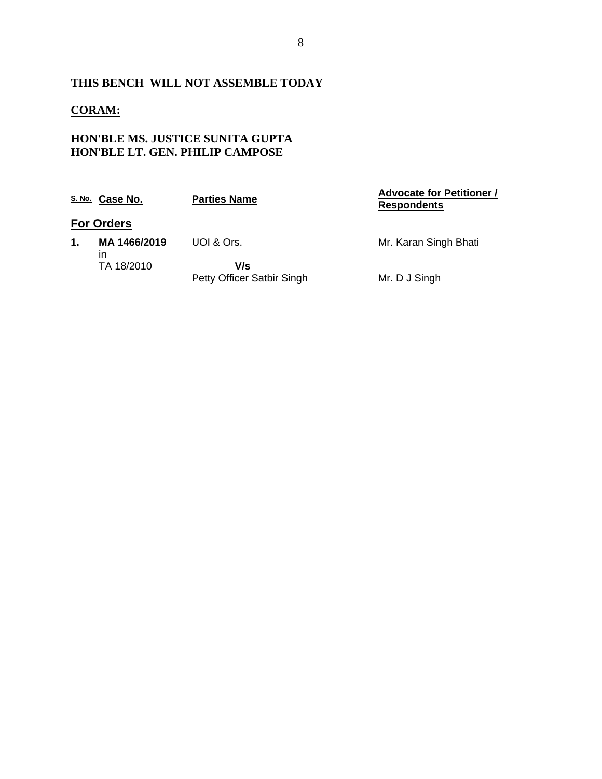## **THIS BENCH WILL NOT ASSEMBLE TODAY**

## **CORAM:**

## **HON'BLE MS. JUSTICE SUNITA GUPTA HON'BLE LT. GEN. PHILIP CAMPOSE**

|    | S.No. Case No.     | <b>Parties Name</b>               | <b>Advocate for Petitioner /</b><br><b>Respondents</b> |
|----|--------------------|-----------------------------------|--------------------------------------------------------|
|    | <b>For Orders</b>  |                                   |                                                        |
| 1. | MA 1466/2019<br>ın | UOI & Ors.                        | Mr. Karan Singh Bhati                                  |
|    | TA 18/2010         | V/s<br>Petty Officer Satbir Singh | Mr. D J Singh                                          |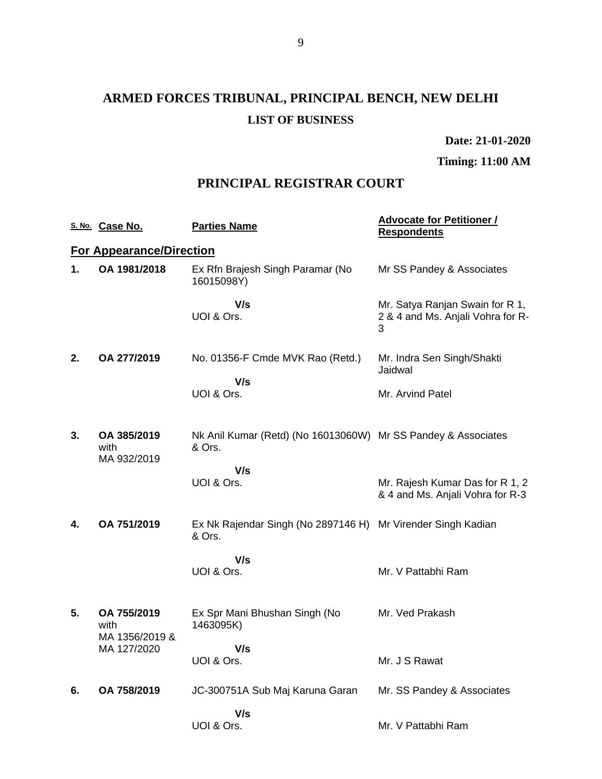# **ARMED FORCES TRIBUNAL, PRINCIPAL BENCH, NEW DELHI LIST OF BUSINESS**

**Date: 21-01-2020**

**Timing: 11:00 AM**

## **PRINCIPAL REGISTRAR COURT**

|    | S. No. Case No.                       | <b>Parties Name</b>                                                     | <b>Advocate for Petitioner /</b><br><b>Respondents</b>                    |
|----|---------------------------------------|-------------------------------------------------------------------------|---------------------------------------------------------------------------|
|    | <b>For Appearance/Direction</b>       |                                                                         |                                                                           |
| 1. | OA 1981/2018                          | Ex Rfn Brajesh Singh Paramar (No<br>16015098Y)                          | Mr SS Pandey & Associates                                                 |
|    |                                       | V/s<br>UOI & Ors.                                                       | Mr. Satya Ranjan Swain for R 1,<br>2 & 4 and Ms. Anjali Vohra for R-<br>3 |
| 2. | OA 277/2019                           | No. 01356-F Cmde MVK Rao (Retd.)                                        | Mr. Indra Sen Singh/Shakti<br>Jaidwal                                     |
|    |                                       | V/s<br>UOI & Ors.                                                       | Mr. Arvind Patel                                                          |
| 3. | OA 385/2019<br>with<br>MA 932/2019    | Nk Anil Kumar (Retd) (No 16013060W) Mr SS Pandey & Associates<br>& Ors. |                                                                           |
|    |                                       | V/s<br>UOI & Ors.                                                       | Mr. Rajesh Kumar Das for R 1, 2<br>& 4 and Ms. Anjali Vohra for R-3       |
| 4. | OA 751/2019                           | Ex Nk Rajendar Singh (No 2897146 H) Mr Virender Singh Kadian<br>& Ors.  |                                                                           |
|    |                                       | V/s<br>UOI & Ors.                                                       | Mr. V Pattabhi Ram                                                        |
| 5. | OA 755/2019<br>with<br>MA 1356/2019 & | Ex Spr Mani Bhushan Singh (No<br>1463095K)                              | Mr. Ved Prakash                                                           |
|    | MA 127/2020                           | V/s<br>UOI & Ors.                                                       | Mr. J S Rawat                                                             |
| 6. | OA 758/2019                           | JC-300751A Sub Maj Karuna Garan                                         | Mr. SS Pandey & Associates                                                |
|    |                                       | V/s                                                                     |                                                                           |
|    |                                       | UOI & Ors.                                                              | Mr. V Pattabhi Ram                                                        |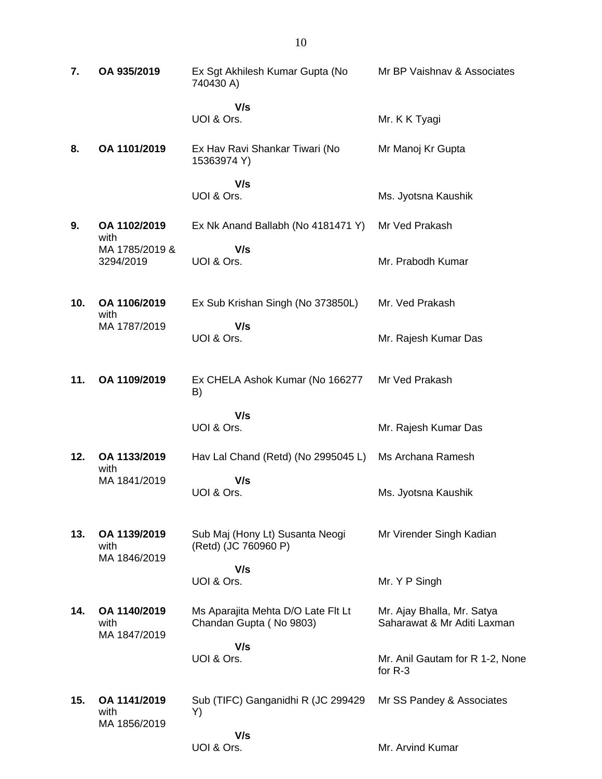| 7.  | OA 935/2019                          | Ex Sgt Akhilesh Kumar Gupta (No<br>740430 A)                  | Mr BP Vaishnav & Associates                               |
|-----|--------------------------------------|---------------------------------------------------------------|-----------------------------------------------------------|
|     |                                      | V/s<br>UOI & Ors.                                             | Mr. K K Tyagi                                             |
| 8.  | OA 1101/2019                         | Ex Hav Ravi Shankar Tiwari (No<br>15363974 Y)                 | Mr Manoj Kr Gupta                                         |
|     |                                      | V/s<br>UOI & Ors.                                             | Ms. Jyotsna Kaushik                                       |
| 9.  | OA 1102/2019<br>with                 | Ex Nk Anand Ballabh (No 4181471 Y)                            | Mr Ved Prakash                                            |
|     | MA 1785/2019 &<br>3294/2019          | V/s<br>UOI & Ors.                                             | Mr. Prabodh Kumar                                         |
| 10. | OA 1106/2019<br>with                 | Ex Sub Krishan Singh (No 373850L)                             | Mr. Ved Prakash                                           |
|     | MA 1787/2019                         | V/s<br>UOI & Ors.                                             | Mr. Rajesh Kumar Das                                      |
| 11. | OA 1109/2019                         | Ex CHELA Ashok Kumar (No 166277<br>B)                         | Mr Ved Prakash                                            |
|     |                                      | V/s<br>UOI & Ors.                                             | Mr. Rajesh Kumar Das                                      |
| 12. | OA 1133/2019                         | Hav Lal Chand (Retd) (No 2995045 L)                           | Ms Archana Ramesh                                         |
|     | with<br>MA 1841/2019                 | V/s<br>UOI & Ors.                                             | Ms. Jyotsna Kaushik                                       |
| 13. | OA 1139/2019<br>with<br>MA 1846/2019 | Sub Maj (Hony Lt) Susanta Neogi<br>(Retd) (JC 760960 P)       | Mr Virender Singh Kadian                                  |
|     |                                      | V/s<br>UOI & Ors.                                             | Mr. Y P Singh                                             |
| 14. | OA 1140/2019<br>with<br>MA 1847/2019 | Ms Aparajita Mehta D/O Late Flt Lt<br>Chandan Gupta (No 9803) | Mr. Ajay Bhalla, Mr. Satya<br>Saharawat & Mr Aditi Laxman |
|     |                                      | V/s<br>UOI & Ors.                                             | Mr. Anil Gautam for R 1-2, None<br>for $R-3$              |
| 15. | OA 1141/2019<br>with<br>MA 1856/2019 | Sub (TIFC) Ganganidhi R (JC 299429<br>Y)                      | Mr SS Pandey & Associates                                 |
|     |                                      | V/s<br>UOI & Ors.                                             | Mr. Arvind Kumar                                          |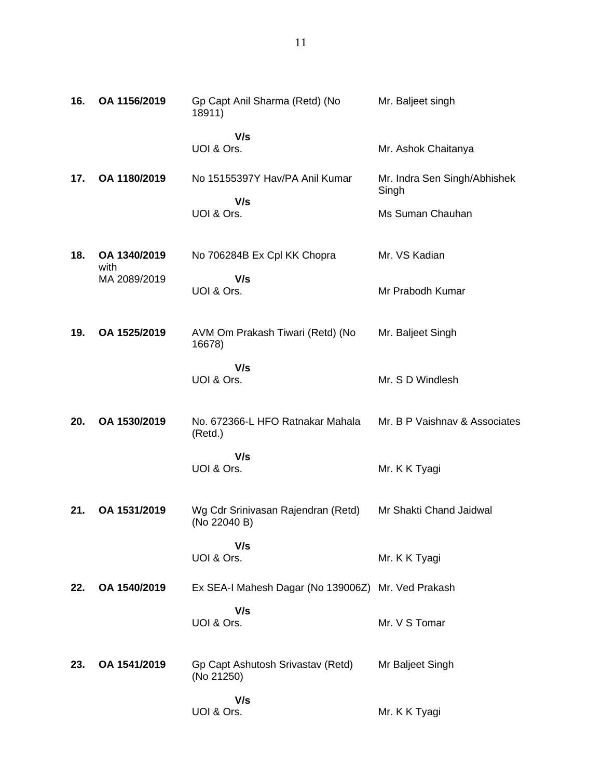| 16. | OA 1156/2019         | Gp Capt Anil Sharma (Retd) (No<br>18911)           | Mr. Baljeet singh                     |
|-----|----------------------|----------------------------------------------------|---------------------------------------|
|     |                      | V/s<br>UOI & Ors.                                  | Mr. Ashok Chaitanya                   |
| 17. | OA 1180/2019         | No 15155397Y Hav/PA Anil Kumar                     | Mr. Indra Sen Singh/Abhishek<br>Singh |
|     |                      | V/s<br>UOI & Ors.                                  | Ms Suman Chauhan                      |
| 18. | OA 1340/2019<br>with | No 706284B Ex Cpl KK Chopra                        | Mr. VS Kadian                         |
|     | MA 2089/2019         | V/s<br>UOI & Ors.                                  | Mr Prabodh Kumar                      |
| 19. | OA 1525/2019         | AVM Om Prakash Tiwari (Retd) (No<br>16678)         | Mr. Baljeet Singh                     |
|     |                      | V/s<br>UOI & Ors.                                  | Mr. S D Windlesh                      |
| 20. | OA 1530/2019         | No. 672366-L HFO Ratnakar Mahala<br>(Retd.)        | Mr. B P Vaishnav & Associates         |
|     |                      | V/s<br>UOI & Ors.                                  | Mr. K K Tyagi                         |
| 21. | OA 1531/2019         | Wg Cdr Srinivasan Rajendran (Retd)<br>(No 22040 B) | Mr Shakti Chand Jaidwal               |
|     |                      | V/s<br>UOI & Ors.                                  | Mr. K K Tyagi                         |
| 22. | OA 1540/2019         | Ex SEA-I Mahesh Dagar (No 139006Z) Mr. Ved Prakash |                                       |
|     |                      | V/s<br>UOI & Ors.                                  | Mr. V S Tomar                         |
| 23. | OA 1541/2019         | Gp Capt Ashutosh Srivastav (Retd)<br>(No 21250)    | Mr Baljeet Singh                      |
|     |                      | V/s<br>UOI & Ors.                                  | Mr. K K Tyagi                         |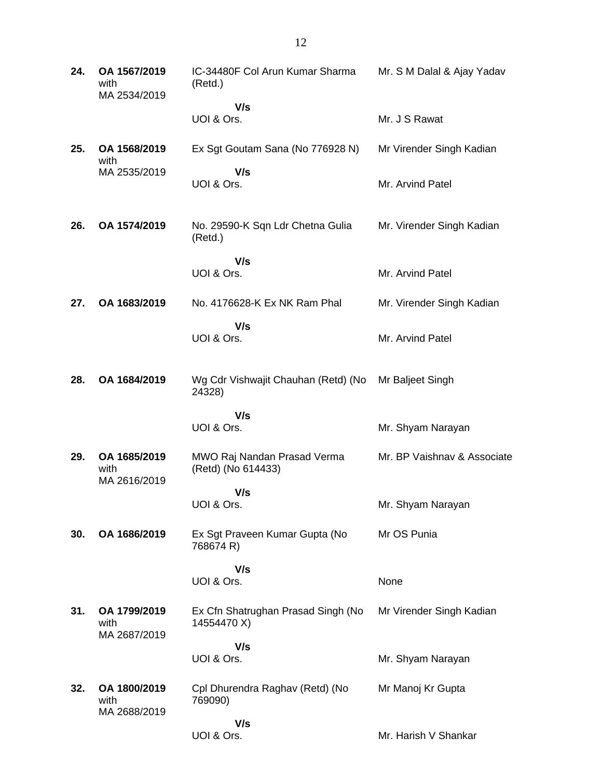| 24. | OA 1567/2019<br>with<br>MA 2534/2019 | IC-34480F Col Arun Kumar Sharma<br>(Retd.)        | Mr. S M Dalal & Ajay Yadav  |
|-----|--------------------------------------|---------------------------------------------------|-----------------------------|
|     |                                      | V/s<br>UOI & Ors.                                 | Mr. J S Rawat               |
| 25. | OA 1568/2019<br>with                 | Ex Sgt Goutam Sana (No 776928 N)                  | Mr Virender Singh Kadian    |
|     | MA 2535/2019                         | V/s<br>UOI & Ors.                                 | Mr. Arvind Patel            |
| 26. | OA 1574/2019                         | No. 29590-K Sqn Ldr Chetna Gulia<br>(Retd.)       | Mr. Virender Singh Kadian   |
|     |                                      | V/s<br>UOI & Ors.                                 | Mr. Arvind Patel            |
| 27. | OA 1683/2019                         | No. 4176628-K Ex NK Ram Phal                      | Mr. Virender Singh Kadian   |
|     |                                      | V/s<br>UOI & Ors.                                 | Mr. Arvind Patel            |
| 28. | OA 1684/2019                         | Wg Cdr Vishwajit Chauhan (Retd) (No<br>24328)     | Mr Baljeet Singh            |
|     |                                      | V/s<br>UOI & Ors.                                 | Mr. Shyam Narayan           |
| 29. | OA 1685/2019<br>with<br>MA 2616/2019 | MWO Raj Nandan Prasad Verma<br>(Retd) (No 614433) | Mr. BP Vaishnav & Associate |
|     |                                      | V/s<br>UOI & Ors.                                 | Mr. Shyam Narayan           |
| 30. | OA 1686/2019                         | Ex Sgt Praveen Kumar Gupta (No<br>768674 R)       | Mr OS Punia                 |
|     |                                      | V/s<br>UOI & Ors.                                 | None                        |
| 31. | OA 1799/2019<br>with<br>MA 2687/2019 | Ex Cfn Shatrughan Prasad Singh (No<br>14554470 X) | Mr Virender Singh Kadian    |
|     |                                      | V/s<br>UOI & Ors.                                 | Mr. Shyam Narayan           |
| 32. | OA 1800/2019<br>with<br>MA 2688/2019 | Cpl Dhurendra Raghav (Retd) (No<br>769090)        | Mr Manoj Kr Gupta           |
|     |                                      | V/s<br>UOI & Ors.                                 | Mr. Harish V Shankar        |